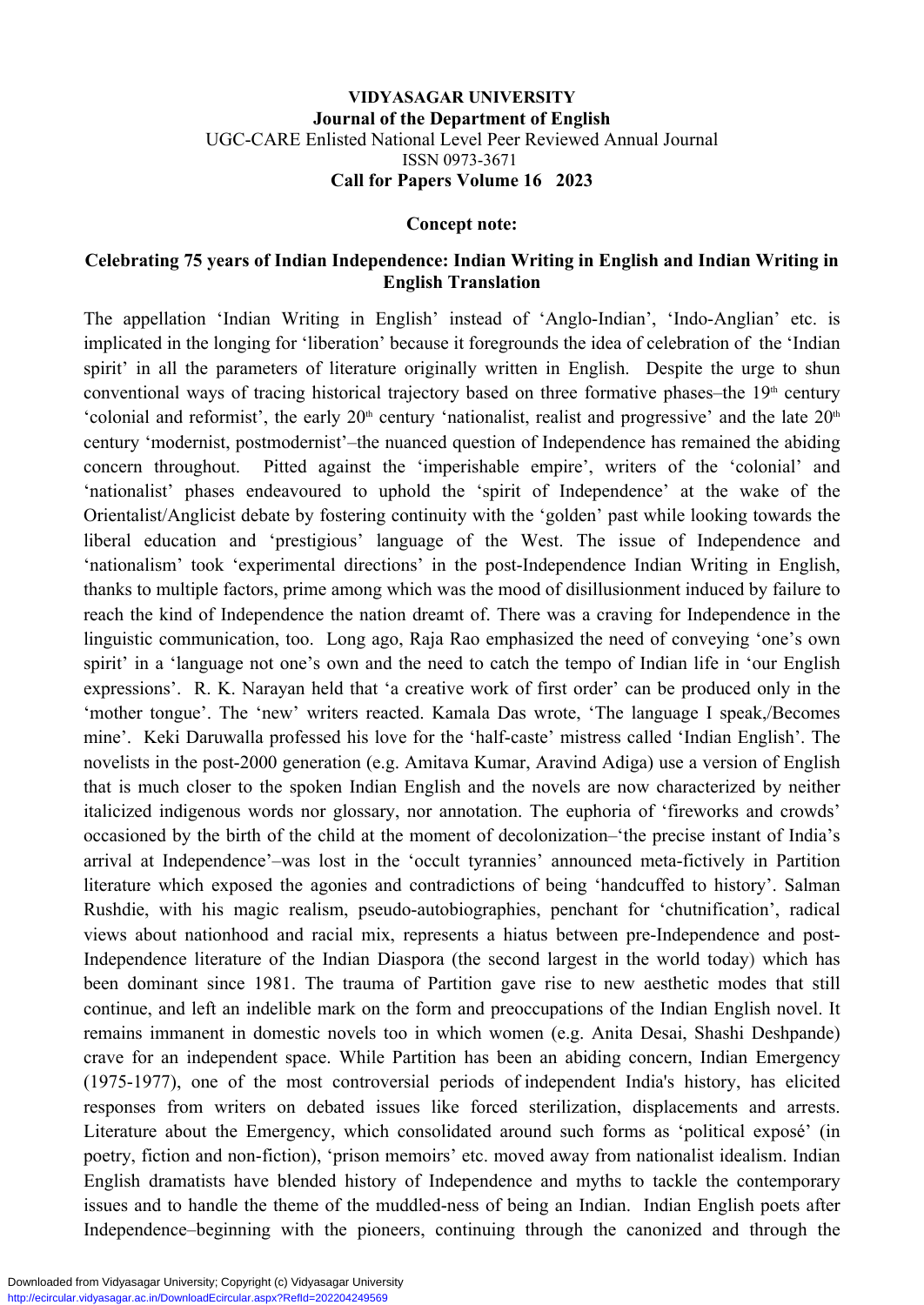### **VIDYASAGAR UNIVERSITY Journal of the Department of English** UGC-CARE Enlisted National Level Peer Reviewed Annual Journal ISSN 0973-3671 **Call for Papers Volume 16 2023**

#### **Concept note:**

## **Celebrating 75 years of Indian Independence: Indian Writing in English and Indian Writing in English Translation**

The appellation 'Indian Writing in English' instead of 'Anglo-Indian', 'Indo-Anglian' etc. is implicated in the longing for 'liberation' because it foregrounds the idea of celebration of the 'Indian spirit' in all the parameters of literature originally written in English. Despite the urge to shun conventional ways of tracing historical trajectory based on three formative phases–the  $19<sup>th</sup>$  century 'colonial and reformist', the early  $20<sup>th</sup>$  century 'nationalist, realist and progressive' and the late  $20<sup>th</sup>$ century 'modernist, postmodernist'–the nuanced question of Independence has remained the abiding concern throughout. Pitted against the 'imperishable empire', writers of the 'colonial' and 'nationalist' phases endeavoured to uphold the 'spirit of Independence' at the wake of the Orientalist/Anglicist debate by fostering continuity with the 'golden' past while looking towards the liberal education and 'prestigious' language of the West. The issue of Independence and 'nationalism' took 'experimental directions' in the post-Independence Indian Writing in English, thanks to multiple factors, prime among which was the mood of disillusionment induced by failure to reach the kind of Independence the nation dreamt of. There was a craving for Independence in the linguistic communication, too. Long ago, Raja Rao emphasized the need of conveying 'one's own spirit' in a 'language not one's own and the need to catch the tempo of Indian life in 'our English expressions'. R. K. Narayan held that 'a creative work of first order' can be produced only in the 'mother tongue'. The 'new' writers reacted. Kamala Das wrote, 'The language I speak,/Becomes mine'. Keki Daruwalla professed his love for the 'half-caste' mistress called 'Indian English'. The novelists in the post-2000 generation (e.g. Amitava Kumar, Aravind Adiga) use a version of English that is much closer to the spoken Indian English and the novels are now characterized by neither italicized indigenous words nor glossary, nor annotation. The euphoria of 'fireworks and crowds' occasioned by the birth of the child at the moment of decolonization–'the precise instant of India's arrival at Independence'–was lost in the 'occult tyrannies' announced meta-fictively in Partition literature which exposed the agonies and contradictions of being 'handcuffed to history'. Salman Rushdie, with his magic realism, pseudo-autobiographies, penchant for 'chutnification', radical views about nationhood and racial mix, represents a hiatus between pre-Independence and post-Independence literature of the Indian Diaspora (the second largest in the world today) which has been dominant since 1981. The trauma of Partition gave rise to new aesthetic modes that still continue, and left an indelible mark on the form and preoccupations of the Indian English novel. It remains immanent in domestic novels too in which women (e.g. Anita Desai, Shashi Deshpande) crave for an independent space. While Partition has been an abiding concern, Indian Emergency (1975-1977), one of the most controversial periods of independent India's history, has elicited responses from writers on debated issues like forced sterilization, displacements and arrests. Literature about the Emergency, which consolidated around such forms as 'political exposé' (in poetry, fiction and non-fiction), 'prison memoirs' etc. moved away from nationalist idealism. Indian English dramatists have blended history of Independence and myths to tackle the contemporary issues and to handle the theme of the muddled-ness of being an Indian. Indian English poets after Independence–beginning with the pioneers, continuing through the canonized and through the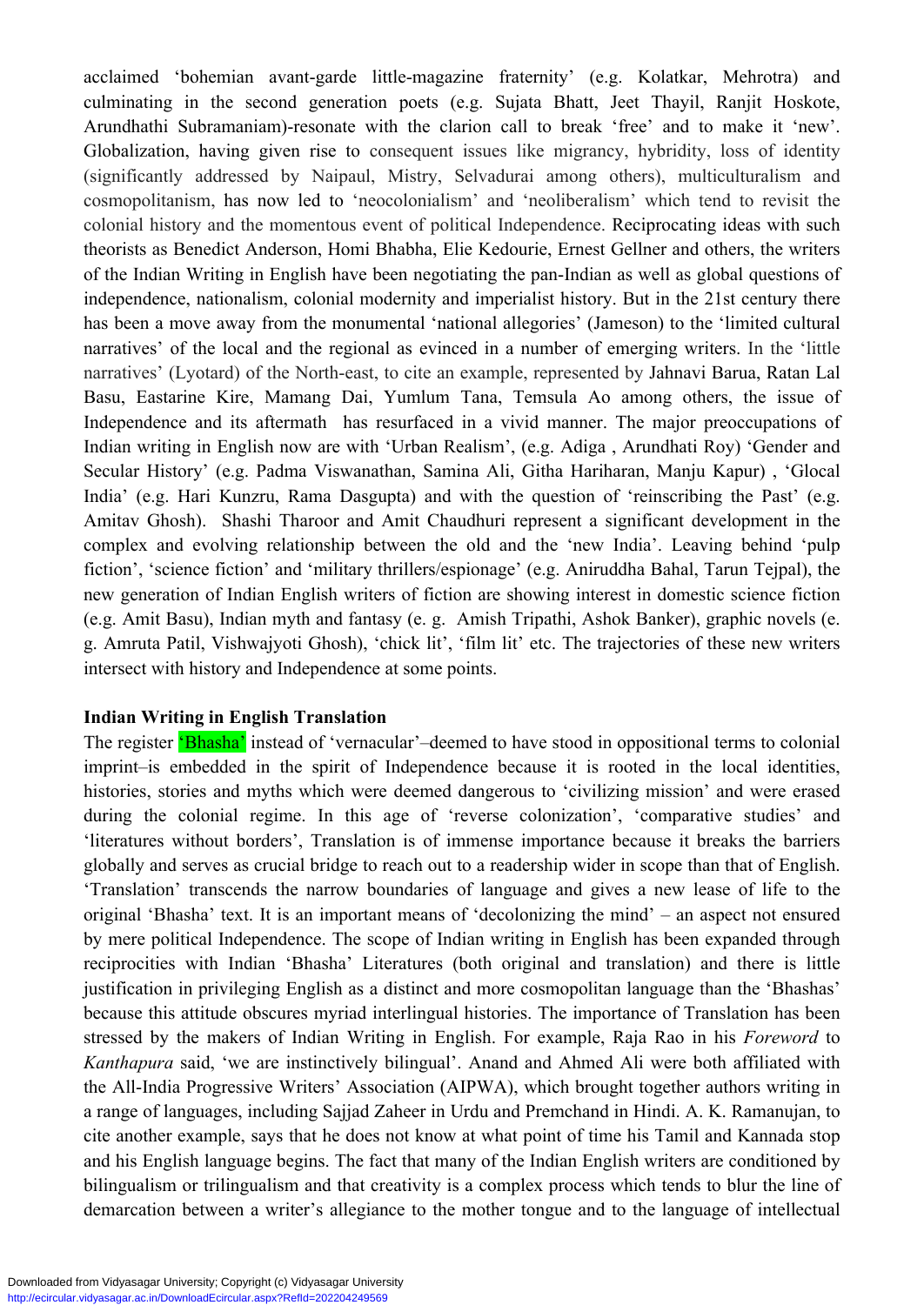acclaimed 'bohemian avant-garde little-magazine fraternity' (e.g. Kolatkar, Mehrotra) and culminating in the second generation poets (e.g. Sujata Bhatt, Jeet Thayil, Ranjit Hoskote, Arundhathi Subramaniam)-resonate with the clarion call to break 'free' and to make it 'new'. Globalization, having given rise to consequent issues like migrancy, hybridity, loss of identity (significantly addressed by Naipaul, Mistry, Selvadurai among others), multiculturalism and cosmopolitanism, has now led to 'neocolonialism' and 'neoliberalism' which tend to revisit the colonial history and the momentous event of political Independence. Reciprocating ideas with such theorists as Benedict Anderson, Homi Bhabha, Elie Kedourie, Ernest Gellner and others, the writers of the Indian Writing in English have been negotiating the pan-Indian as well as global questions of independence, nationalism, colonial modernity and imperialist history. But in the 21st century there has been a move away from the monumental 'national allegories' (Jameson) to the 'limited cultural narratives' of the local and the regional as evinced in a number of emerging writers. In the 'little narratives' (Lyotard) of the North-east, to cite an example, represented by Jahnavi Barua, Ratan Lal Basu, Eastarine Kire, Mamang Dai, Yumlum Tana, Temsula Ao among others, the issue of Independence and its aftermath has resurfaced in a vivid manner. The major preoccupations of Indian writing in English now are with 'Urban Realism', (e.g. Adiga , Arundhati Roy) 'Gender and Secular History' (e.g. Padma Viswanathan, Samina Ali, Githa Hariharan, Manju Kapur) , 'Glocal India' (e.g. Hari Kunzru, Rama Dasgupta) and with the question of 'reinscribing the Past' (e.g. Amitav Ghosh). Shashi Tharoor and Amit Chaudhuri represent a significant development in the complex and evolving relationship between the old and the 'new India'. Leaving behind 'pulp fiction', 'science fiction' and 'military thrillers/espionage' (e.g. Aniruddha Bahal, Tarun Tejpal), the new generation of Indian English writers of fiction are showing interest in domestic science fiction (e.g. Amit Basu), Indian myth and fantasy (e. g. Amish Tripathi, Ashok Banker), graphic novels (e. g. Amruta Patil, Vishwajyoti Ghosh), 'chick lit', 'film lit' etc. The trajectories of these new writers intersect with history and Independence at some points.

## **Indian Writing in English Translation**

The register 'Bhasha' instead of 'vernacular'–deemed to have stood in oppositional terms to colonial imprint–is embedded in the spirit of Independence because it is rooted in the local identities, histories, stories and myths which were deemed dangerous to 'civilizing mission' and were erased during the colonial regime. In this age of 'reverse colonization', 'comparative studies' and 'literatures without borders', Translation is of immense importance because it breaks the barriers globally and serves as crucial bridge to reach out to a readership wider in scope than that of English. 'Translation' transcends the narrow boundaries of language and gives a new lease of life to the original 'Bhasha' text. It is an important means of 'decolonizing the mind' – an aspect not ensured by mere political Independence. The scope of Indian writing in English has been expanded through reciprocities with Indian 'Bhasha' Literatures (both original and translation) and there is little justification in privileging English as a distinct and more cosmopolitan language than the 'Bhashas' because this attitude obscures myriad interlingual histories. The importance of Translation has been stressed by the makers of Indian Writing in English. For example, Raja Rao in his *Foreword* to *Kanthapura* said, 'we are instinctively bilingual'. Anand and Ahmed Ali were both affiliated with the All-India Progressive Writers' Association (AIPWA), which brought together authors writing in a range of languages, including Sajjad Zaheer in Urdu and Premchand in Hindi. A. K. Ramanujan, to cite another example, says that he does not know at what point of time his Tamil and Kannada stop and his English language begins. The fact that many of the Indian English writers are conditioned by bilingualism or trilingualism and that creativity is a complex process which tends to blur the line of demarcation between a writer's allegiance to the mother tongue and to the language of intellectual